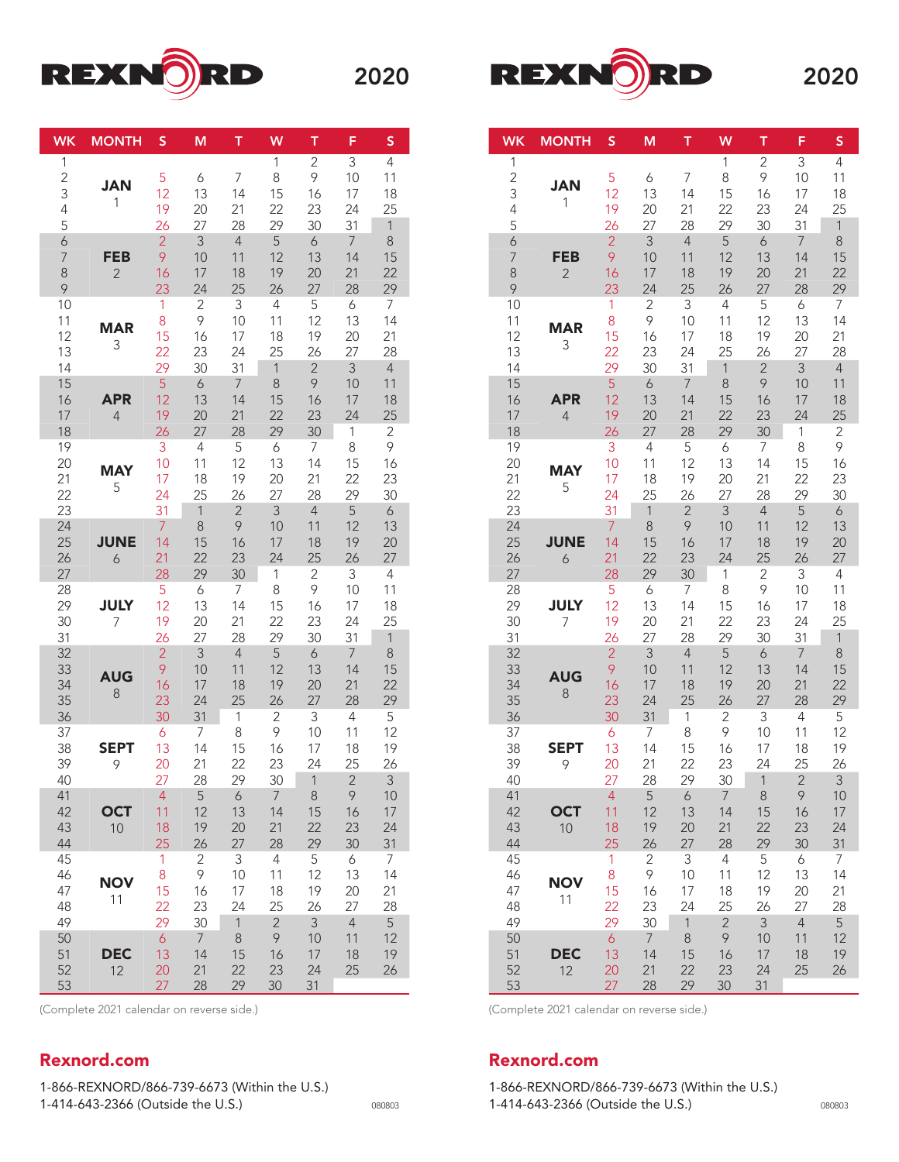



| <b>WK</b>                          | <b>MONTH</b>                 | S                                     | M                                      | T                                     | W                                                | Ť.                                      | F                                                  | S                                       |
|------------------------------------|------------------------------|---------------------------------------|----------------------------------------|---------------------------------------|--------------------------------------------------|-----------------------------------------|----------------------------------------------------|-----------------------------------------|
| 1<br>$\overline{2}$<br>3<br>4<br>5 | <b>JAN</b><br>1              | 5<br>12<br>19<br>26                   | 6<br>13<br>20<br>27                    | 7<br>14<br>21<br>28                   | 1<br>8<br>15<br>22<br>29                         | $\overline{2}$<br>9<br>16<br>23<br>30   | 3<br>10<br>17<br>24<br>31                          | 4<br>11<br>18<br>25<br>$\mathbf{1}$     |
| 6<br>$\overline{7}$<br>8<br>9      | <b>FEB</b><br>$\overline{2}$ | $\overline{2}$<br>9<br>16<br>23       | 3<br>10<br>17<br>24                    | $\overline{4}$<br>11<br>18<br>25      | 5<br>12<br>19<br>26                              | $\boldsymbol{6}$<br>13<br>20<br>27      | $\overline{7}$<br>14<br>21<br>28                   | $\,8\,$<br>15<br>22<br>29               |
| 10<br>11<br>12<br>13<br>14         | <b>MAR</b><br>3              | 1<br>8<br>15<br>22<br>29              | 2<br>9<br>16<br>23<br>30               | 3<br>10<br>17<br>24<br>31             | $\overline{4}$<br>11<br>18<br>25<br>$\mathbf{1}$ | 5<br>12<br>19<br>26<br>$\overline{2}$   | 6<br>13<br>20<br>27<br>$\overline{3}$              | 7<br>14<br>21<br>28<br>$\overline{4}$   |
| 15<br>16<br>17<br>18               | <b>APR</b><br>$\overline{4}$ | 5<br>12<br>19<br>26                   | 6<br>13<br>20<br>27                    | $\overline{7}$<br>14<br>21<br>28      | 8<br>15<br>22<br>29                              | 9<br>16<br>23<br>30                     | 10<br>17<br>24<br>$\mathbf 1$                      | 11<br>18<br>25<br>$\mathbf{2}$          |
| 19<br>20<br>21<br>22<br>23         | <b>MAY</b><br>5              | 3<br>10<br>17<br>24<br>31             | 4<br>11<br>18<br>25<br>$\mathbf{1}$    | 5<br>12<br>19<br>26<br>$\overline{2}$ | 6<br>13<br>20<br>27<br>$\overline{3}$            | 7<br>14<br>21<br>28<br>$\overline{4}$   | 8<br>15<br>22<br>29<br>5                           | 9<br>16<br>23<br>30<br>$\boldsymbol{6}$ |
| 24<br>25<br>26<br>27               | <b>JUNE</b><br>6             | $\overline{7}$<br>14<br>21<br>28      | 8<br>15<br>22<br>29                    | 9<br>16<br>23<br>30                   | 10<br>17<br>24<br>$\mathbf 1$                    | 11<br>18<br>25<br>$\sqrt{2}$            | 12<br>19<br>26<br>3                                | 13<br>20<br>27<br>$\overline{4}$        |
| 28<br>29<br>30<br>31               | <b>JULY</b><br>7             | 5<br>12<br>19<br>26                   | 6<br>13<br>20<br>27                    | 7<br>14<br>21<br>28                   | 8<br>15<br>22<br>29                              | 9<br>16<br>23<br>30                     | 10<br>17<br>24<br>31                               | 11<br>18<br>25<br>$\mathbf{1}$          |
| 32<br>33<br>34<br>35<br>36         | <b>AUG</b><br>8              | $\overline{2}$<br>9<br>16<br>23<br>30 | 3<br>10<br>17<br>24<br>31              | $\overline{4}$<br>11<br>18<br>25<br>1 | 5<br>12<br>19<br>26<br>$\sqrt{2}$                | $\boldsymbol{6}$<br>13<br>20<br>27<br>3 | $\overline{7}$<br>14<br>21<br>28<br>$\overline{4}$ | $\,8\,$<br>15<br>22<br>29<br>5          |
| 37<br>38<br>39<br>40               | <b>SEPT</b><br>9             | 6<br>13<br>20<br>27                   | 7<br>14<br>21<br>28                    | 8<br>15<br>22<br>29                   | 9<br>16<br>23<br>30                              | 10<br>17<br>24<br>$\overline{1}$        | 11<br>18<br>25<br>$\overline{2}$                   | 12<br>19<br>26<br>3                     |
| 41<br>42<br>43<br>44               | <b>OCT</b><br>10             | $\overline{4}$<br>11<br>18<br>25      | 5<br>12<br>19<br>26                    | $\boldsymbol{6}$<br>13<br>20<br>27    | $\overline{7}$<br>14<br>21<br>28                 | $\,8\,$<br>15<br>22<br>29               | 9<br>16<br>23<br>30                                | 10<br>17<br>24<br>31                    |
| 45<br>46<br>47<br>48               | <b>NOV</b><br>11             | 1<br>$8\,$<br>15<br>22                | 2<br>9<br>16<br>23                     | 3<br>10<br>17<br>24                   | 4<br>11<br>18<br>25                              | 5<br>12<br>19<br>26                     | 6<br>13<br>20<br>27                                | 7<br>14<br>21<br>28                     |
| 49<br>50<br>51<br>52<br>53         | <b>DEC</b><br>12             | 29<br>$\delta$<br>13<br>20<br>27      | 30<br>$\overline{7}$<br>14<br>21<br>28 | $\mathbf{1}$<br>8<br>15<br>22<br>29   | $\overline{2}$<br>9<br>16<br>23<br>30            | 3<br>10<br>17<br>24<br>31               | $\overline{4}$<br>11<br>18<br>25                   | 5<br>12<br>19<br>26                     |

(Complete 2021 calendar on reverse side.)

## Rexnord.com

1-866-REXNORD/866-739-6673 (Within the U.S.) 1-414-643-2366 (Outside the U.S.) <sup>080803</sup>

| <b>WK</b>                          | <b>MONTH</b>                 | S                                      | М                                      | т                                                | W                                                | т                                                  | F                                                    | S                                                  |
|------------------------------------|------------------------------|----------------------------------------|----------------------------------------|--------------------------------------------------|--------------------------------------------------|----------------------------------------------------|------------------------------------------------------|----------------------------------------------------|
| 1<br>$\overline{c}$<br>3<br>4<br>5 | <b>JAN</b><br>1              | 5<br>12<br>19<br>26                    | 6<br>13<br>20<br>27                    | 7<br>14<br>21<br>28                              | 1<br>8<br>15<br>22<br>29                         | $\overline{2}$<br>9<br>16<br>23<br>30              | 3<br>10<br>17<br>24<br>31                            | 4<br>11<br>18<br>25<br>$\mathbf{1}$                |
| 6<br>$\overline{7}$<br>8<br>9      | <b>FEB</b><br>$\overline{2}$ | $\overline{2}$<br>9<br>16<br>23        | 3<br>10<br>17<br>24                    | $\overline{4}$<br>11<br>18<br>25                 | 5<br>12<br>19<br>26                              | $\boldsymbol{6}$<br>13<br>20<br>27                 | $\overline{7}$<br>14<br>21<br>28                     | 8<br>15<br>22<br>29                                |
| 10<br>11<br>12<br>13<br>14         | <b>MAR</b><br>3              | 1<br>8<br>15<br>22<br>29               | $\overline{2}$<br>9<br>16<br>23<br>30  | 3<br>10<br>17<br>24<br>31                        | $\overline{4}$<br>11<br>18<br>25<br>$\mathbf{1}$ | 5<br>12<br>19<br>26<br>$\overline{2}$              | $\boldsymbol{6}$<br>13<br>20<br>27<br>$\overline{3}$ | $\overline{7}$<br>14<br>21<br>28<br>$\overline{4}$ |
| 15<br>16<br>17<br>18               | <b>APR</b><br>$\overline{4}$ | 5<br>12<br>19<br>26                    | 6<br>13<br>20<br>27                    | $\overline{7}$<br>14<br>21<br>28                 | 8<br>15<br>22<br>29                              | 9<br>16<br>23<br>30                                | 10<br>17<br>24<br>1                                  | 11<br>18<br>25<br>2                                |
| 19<br>20<br>21<br>22               | <b>MAY</b><br>5              | 3<br>10<br>17<br>24<br>31              | 4<br>11<br>18<br>25<br>$\mathbf{1}$    | 5<br>12<br>19<br>26                              | 6<br>13<br>20<br>27<br>3                         | $\overline{7}$<br>14<br>21<br>28<br>$\overline{4}$ | 8<br>15<br>22<br>29<br>5                             | 9<br>16<br>23<br>30                                |
| 23<br>24<br>25<br>26<br>27         | <b>JUNE</b><br>6             | $\overline{7}$<br>14<br>21<br>28       | 8<br>15<br>22<br>29                    | $\overline{2}$<br>9<br>16<br>23<br>30            | 10<br>17<br>24<br>1                              | 11<br>18<br>25<br>$\overline{c}$                   | 12<br>19<br>26<br>3                                  | $\boldsymbol{6}$<br>13<br>20<br>27<br>4            |
| 28<br>29<br>30<br>31               | <b>JULY</b><br>7             | 5<br>12<br>19<br>26                    | $\boldsymbol{6}$<br>13<br>20<br>27     | 7<br>14<br>21<br>28                              | 8<br>15<br>22<br>29                              | 9<br>16<br>23<br>30                                | 10<br>17<br>24<br>31                                 | 11<br>18<br>25<br>$\mathbf{1}$                     |
| 32<br>33<br>34<br>35<br>36         | <b>AUG</b><br>8              | $\overline{2}$<br>9<br>16<br>23<br>30  | 3<br>10<br>17<br>24<br>31              | $\overline{4}$<br>11<br>18<br>25<br>$\mathbf{1}$ | 5<br>12<br>19<br>26<br>$\overline{2}$            | $\delta$<br>13<br>20<br>27<br>3                    | $\overline{7}$<br>14<br>21<br>28<br>4                | 8<br>15<br>22<br>29<br>5                           |
| 37<br>38<br>39<br>40               | <b>SEPT</b><br>9             | 6<br>13<br>20<br>27                    | 7<br>14<br>21<br>28                    | 8<br>15<br>22<br>29                              | 9<br>16<br>23<br>30                              | 10<br>17<br>24<br>$\mathbf{1}$                     | 11<br>18<br>25<br>$\overline{c}$                     | 12<br>19<br>26<br>3                                |
| 41<br>42<br>43<br>44               | <b>OCT</b><br>10             | 4<br>11<br>18<br>25                    | 5<br>12<br>19<br>26                    | 6<br>13<br>20<br>27                              | 7<br>14<br>21<br>28                              | 8<br>15<br>22<br>29                                | 9<br>16<br>23<br>30                                  | 10<br>17<br>24<br>31                               |
| 45<br>46<br>47<br>48               | <b>NOV</b><br>11             | 1<br>8<br>15<br>22                     | $\overline{2}$<br>9<br>16<br>23        | 3<br>10<br>17<br>24                              | $\overline{4}$<br>11<br>18<br>25                 | 5<br>12<br>19<br>26                                | 6<br>13<br>20<br>27                                  | 7<br>14<br>21<br>28                                |
| 49<br>50<br>51<br>52<br>53         | <b>DEC</b><br>12             | 29<br>$\overline{6}$<br>13<br>20<br>27 | 30<br>$\overline{7}$<br>14<br>21<br>28 | $\mathbf{1}$<br>8<br>15<br>22<br>29              | $\overline{2}$<br>9<br>16<br>23<br>30            | 3<br>10<br>17<br>24<br>31                          | $\overline{4}$<br>11<br>18<br>25                     | 5<br>12<br>19<br>26                                |

(Complete 2021 calendar on reverse side.)

## Rexnord.com

1-866-REXNORD/866-739-6673 (Within the U.S.) 1-414-643-2366 (Outside the U.S.) <sup>080803</sup>